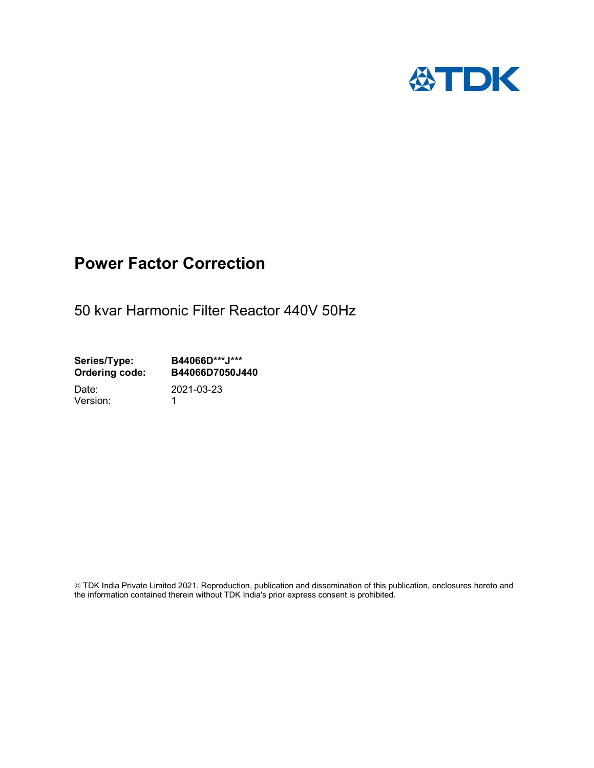

## Power Factor Correction

50 kvar Harmonic Filter Reactor 440V 50Hz

Series/Type: B44066D\*\*\*J\*\*\*<br>Ordering code: B44066D7050J4 B44066D7050J440

Version: 1

Date: 2021-03-23

 TDK India Private Limited 2021. Reproduction, publication and dissemination of this publication, enclosures hereto and the information contained therein without TDK India's prior express consent is prohibited.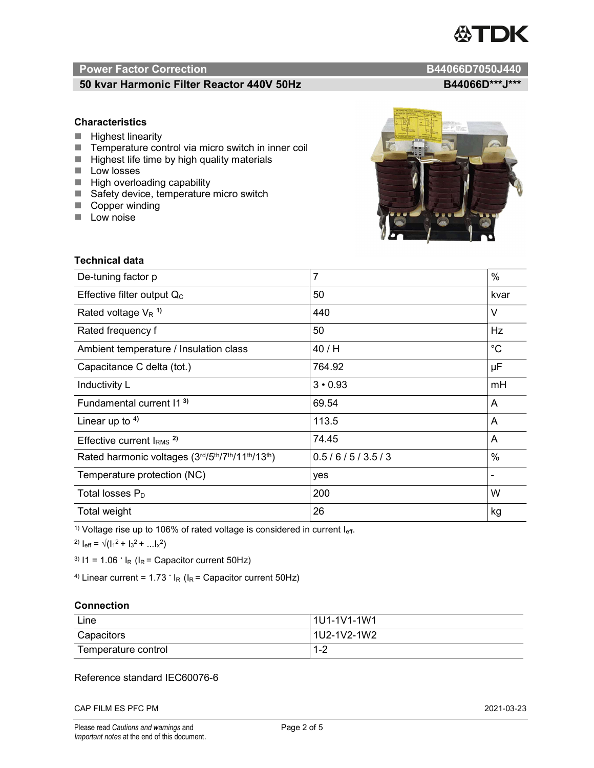# TDK

### Power Factor Correction and Content of Content of Content of Content of Content of Content of Content of Content of Content of Content of Content of Content of Content of Content of Content of Content of Content of Content

#### 50 kvar Harmonic Filter Reactor 440V 50Hz B44066D\*\*\*J\*\*\*

#### **Characteristics**

- $\blacksquare$  Highest linearity
- Temperature control via micro switch in inner coil
- $\blacksquare$  Highest life time by high quality materials
- **Low losses**
- $\blacksquare$  High overloading capability
- Safety device, temperature micro switch
- Copper winding
- **Low noise**

| <b>Technical data</b>                           |                |             |
|-------------------------------------------------|----------------|-------------|
| De-tuning factor p                              | $\overline{7}$ | %           |
| Effective filter output $Q_C$                   | 50             | kvar        |
| Rated voltage $V_R$ <sup>1)</sup>               | 440            | V           |
| Rated frequency f                               | 50             | Hz          |
| Ambient temperature / Insulation class          | 40 / H         | $^{\circ}C$ |
| Capacitance C delta (tot.)                      | 764.92         | μF          |
| Inductivity L                                   | $3 \cdot 0.93$ | mH          |
| Fundamental current 11 <sup>3)</sup>            | 69.54          | A           |
| Linear up to $4$ )                              | 113.5          | A           |
| Effective current $IRMS$ <sup>2)</sup>          | 74.45          | A           |
| Rated harmonic voltages (3rd/5th/7th/11th/13th) | 0.5/6/5/3.5/3  | %           |
| Temperature protection (NC)                     | yes            |             |
| Total losses $P_D$                              | 200            | W           |
| Total weight                                    | 26             | kg          |

<sup>1)</sup> Voltage rise up to 106% of rated voltage is considered in current  $I_{\text{eff}}$ .

<sup>2)</sup>  $I_{eff} = \sqrt{(I_1^2 + I_3^2 + ... I_x^2)}$ 

<sup>3)</sup>  $11 = 1.06$   $\cdot$   $I_R$  ( $I_R$  = Capacitor current 50Hz)

<sup>4)</sup> Linear current =  $1.73$   $\cdot$  I<sub>R</sub> (I<sub>R</sub> = Capacitor current 50Hz)

#### **Connection**

| Line                | 1U1-1V1-1W1   |
|---------------------|---------------|
| Capacitors          | l 1U2-1V2-1W2 |
| Temperature control | 1 O<br>- I =∠ |

#### Reference standard IEC60076-6

CAP FILM ES PFC PM 2021-03-23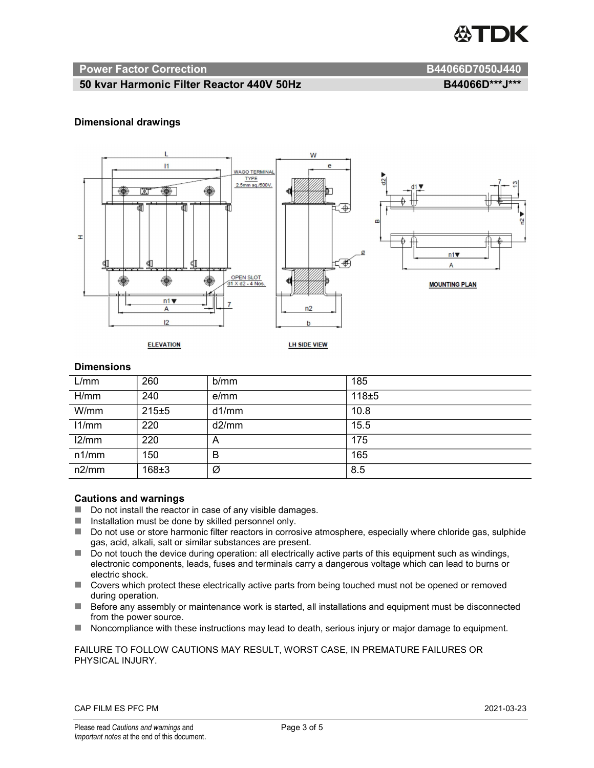

#### Power Factor Correction and B44066D7050J440

#### 50 kvar Harmonic Filter Reactor 440V 50Hz B44066D\*\*\*J\*\*\*

#### Dimensional drawings



#### **Dimensions**

| L/mm  | 260   | b/mm  | 185       |
|-------|-------|-------|-----------|
| H/mm  | 240   | e/mm  | $118 + 5$ |
| W/mm  | 215±5 | d1/mm | 10.8      |
| 11/mm | 220   | d2/mm | 15.5      |
| 12/mm | 220   | A     | 175       |
| n1/mm | 150   | B     | 165       |
| n2/mm | 168±3 | Ø     | 8.5       |

#### Cautions and warnings

- Do not install the reactor in case of any visible damages.
- $\blacksquare$  Installation must be done by skilled personnel only.
- Do not use or store harmonic filter reactors in corrosive atmosphere, especially where chloride gas, sulphide gas, acid, alkali, salt or similar substances are present.
- $\Box$  Do not touch the device during operation: all electrically active parts of this equipment such as windings, electronic components, leads, fuses and terminals carry a dangerous voltage which can lead to burns or electric shock.
- Covers which protect these electrically active parts from being touched must not be opened or removed during operation.
- Before any assembly or maintenance work is started, all installations and equipment must be disconnected from the power source.
- Noncompliance with these instructions may lead to death, serious injury or major damage to equipment.

#### FAILURE TO FOLLOW CAUTIONS MAY RESULT, WORST CASE, IN PREMATURE FAILURES OR PHYSICAL INJURY.

#### CAP FILM ES PFC PM 2021-03-23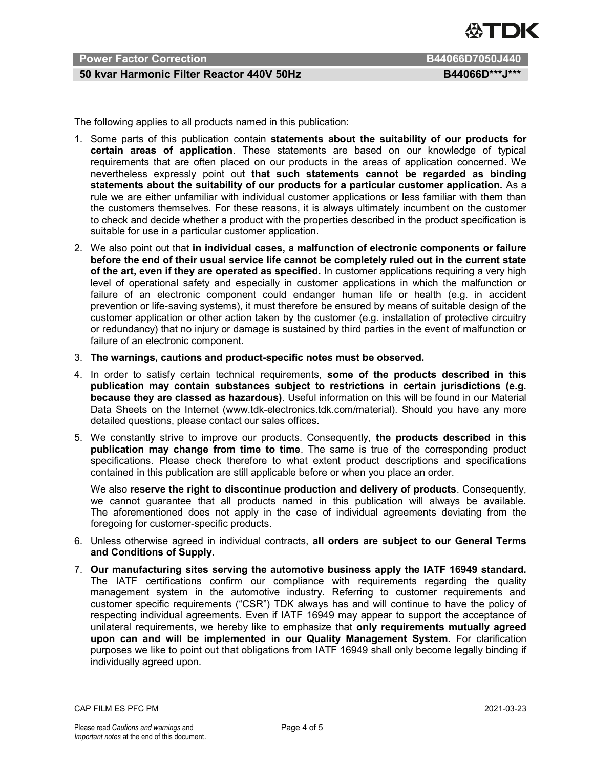

### Power Factor Correction **B44066D7050J440**

#### 50 kvar Harmonic Filter Reactor 440V 50Hz B44066D\*\*\*J\*\*\*

The following applies to all products named in this publication:

- 1. Some parts of this publication contain statements about the suitability of our products for certain areas of application. These statements are based on our knowledge of typical requirements that are often placed on our products in the areas of application concerned. We nevertheless expressly point out that such statements cannot be regarded as binding statements about the suitability of our products for a particular customer application. As a rule we are either unfamiliar with individual customer applications or less familiar with them than the customers themselves. For these reasons, it is always ultimately incumbent on the customer to check and decide whether a product with the properties described in the product specification is suitable for use in a particular customer application.
- 2. We also point out that in individual cases, a malfunction of electronic components or failure before the end of their usual service life cannot be completely ruled out in the current state of the art, even if they are operated as specified. In customer applications requiring a very high level of operational safety and especially in customer applications in which the malfunction or failure of an electronic component could endanger human life or health (e.g. in accident prevention or life-saving systems), it must therefore be ensured by means of suitable design of the customer application or other action taken by the customer (e.g. installation of protective circuitry or redundancy) that no injury or damage is sustained by third parties in the event of malfunction or failure of an electronic component.
- 3. The warnings, cautions and product-specific notes must be observed.
- 4. In order to satisfy certain technical requirements, some of the products described in this publication may contain substances subject to restrictions in certain jurisdictions (e.g. because they are classed as hazardous). Useful information on this will be found in our Material Data Sheets on the Internet (www.tdk-electronics.tdk.com/material). Should you have any more detailed questions, please contact our sales offices.
- 5. We constantly strive to improve our products. Consequently, the products described in this publication may change from time to time. The same is true of the corresponding product specifications. Please check therefore to what extent product descriptions and specifications contained in this publication are still applicable before or when you place an order.

We also reserve the right to discontinue production and delivery of products. Consequently, we cannot guarantee that all products named in this publication will always be available. The aforementioned does not apply in the case of individual agreements deviating from the foregoing for customer-specific products.

- 6. Unless otherwise agreed in individual contracts, all orders are subject to our General Terms and Conditions of Supply.
- 7. Our manufacturing sites serving the automotive business apply the IATF 16949 standard. The IATF certifications confirm our compliance with requirements regarding the quality management system in the automotive industry. Referring to customer requirements and customer specific requirements ("CSR") TDK always has and will continue to have the policy of respecting individual agreements. Even if IATF 16949 may appear to support the acceptance of unilateral requirements, we hereby like to emphasize that only requirements mutually agreed upon can and will be implemented in our Quality Management System. For clarification purposes we like to point out that obligations from IATF 16949 shall only become legally binding if individually agreed upon.